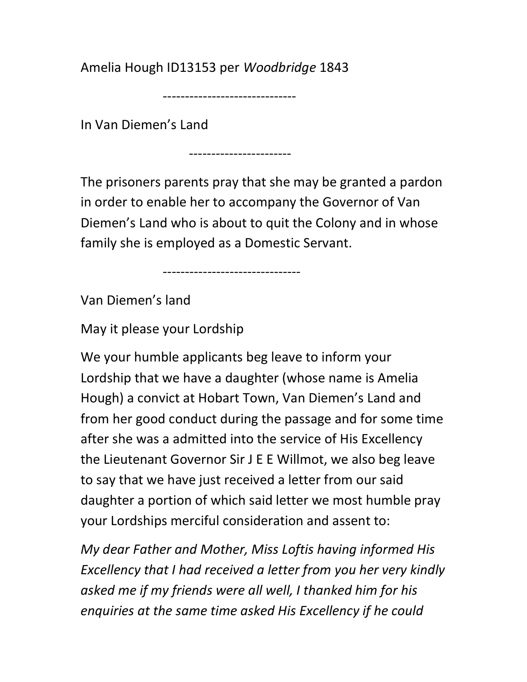Amelia Hough ID13153 per Woodbridge 1843

------------------------------

In Van Diemen's Land

-----------------------

The prisoners parents pray that she may be granted a pardon in order to enable her to accompany the Governor of Van Diemen's Land who is about to quit the Colony and in whose family she is employed as a Domestic Servant.

-------------------------------

Van Diemen's land

May it please your Lordship

We your humble applicants beg leave to inform your Lordship that we have a daughter (whose name is Amelia Hough) a convict at Hobart Town, Van Diemen's Land and from her good conduct during the passage and for some time after she was a admitted into the service of His Excellency the Lieutenant Governor Sir J E E Willmot, we also beg leave to say that we have just received a letter from our said daughter a portion of which said letter we most humble pray your Lordships merciful consideration and assent to:

My dear Father and Mother, Miss Loftis having informed His Excellency that I had received a letter from you her very kindly asked me if my friends were all well, I thanked him for his enquiries at the same time asked His Excellency if he could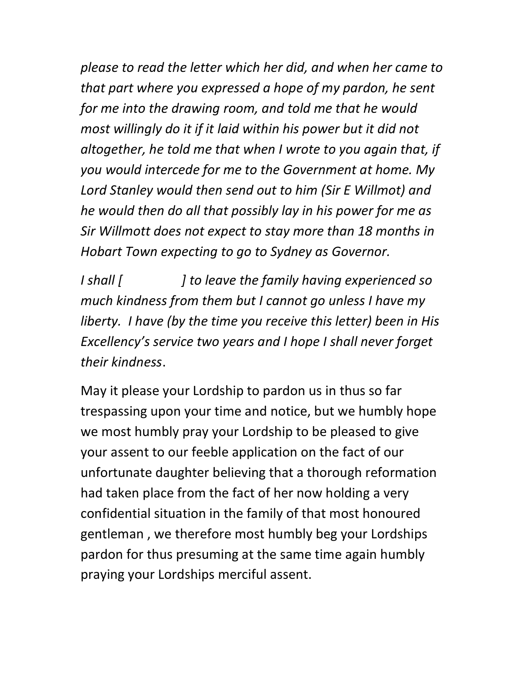please to read the letter which her did, and when her came to that part where you expressed a hope of my pardon, he sent for me into the drawing room, and told me that he would most willingly do it if it laid within his power but it did not altogether, he told me that when I wrote to you again that, if you would intercede for me to the Government at home. My Lord Stanley would then send out to him (Sir E Willmot) and he would then do all that possibly lay in his power for me as Sir Willmott does not expect to stay more than 18 months in Hobart Town expecting to go to Sydney as Governor.

I shall  $\int$  is a lot be ave the family having experienced so much kindness from them but I cannot go unless I have my liberty. I have (by the time you receive this letter) been in His Excellency's service two years and I hope I shall never forget their kindness.

May it please your Lordship to pardon us in thus so far trespassing upon your time and notice, but we humbly hope we most humbly pray your Lordship to be pleased to give your assent to our feeble application on the fact of our unfortunate daughter believing that a thorough reformation had taken place from the fact of her now holding a very confidential situation in the family of that most honoured gentleman , we therefore most humbly beg your Lordships pardon for thus presuming at the same time again humbly praying your Lordships merciful assent.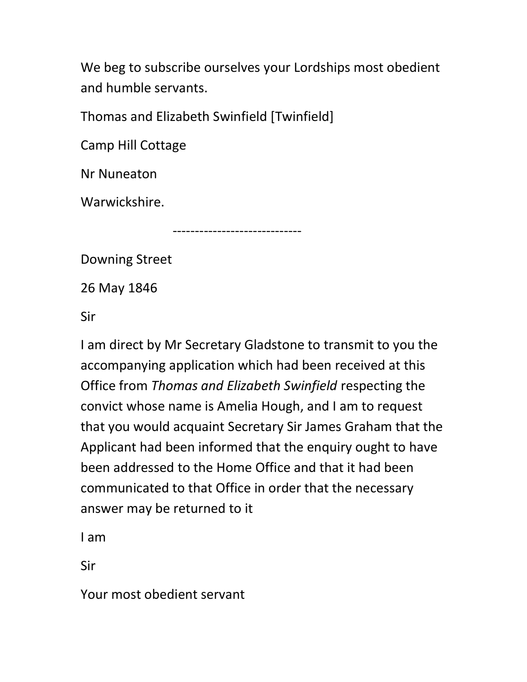We beg to subscribe ourselves your Lordships most obedient and humble servants.

Thomas and Elizabeth Swinfield [Twinfield]

Camp Hill Cottage

Nr Nuneaton

Warwickshire.

-----------------------------

Downing Street

26 May 1846

Sir

I am direct by Mr Secretary Gladstone to transmit to you the accompanying application which had been received at this Office from Thomas and Elizabeth Swinfield respecting the convict whose name is Amelia Hough, and I am to request that you would acquaint Secretary Sir James Graham that the Applicant had been informed that the enquiry ought to have been addressed to the Home Office and that it had been communicated to that Office in order that the necessary answer may be returned to it

I am

Sir

Your most obedient servant